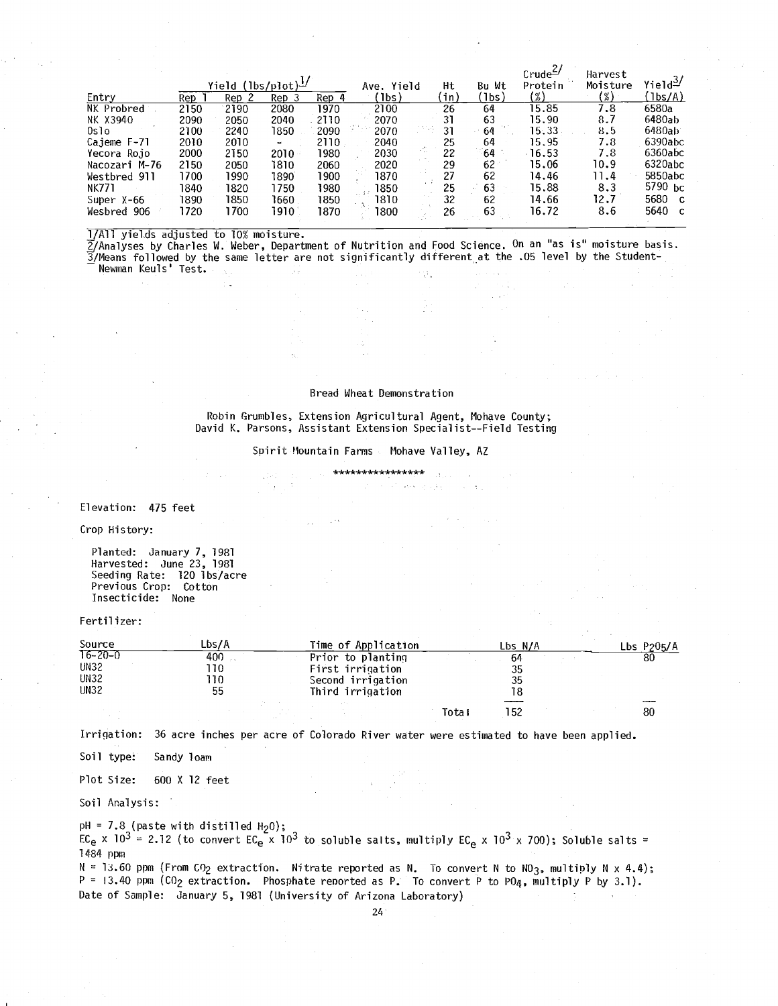|               |                                             |       |                          |       |                |              |        | $Crude^{2/2}$ | Harvest                              |                        |
|---------------|---------------------------------------------|-------|--------------------------|-------|----------------|--------------|--------|---------------|--------------------------------------|------------------------|
|               | <u>Yield (lbs/pl</u> ot) $^{\underline{1}}$ |       |                          |       | Ave. Yield     | Ht           | Bu Wt  | Protein       | Moisture                             | $Y$ ield $\frac{3}{2}$ |
| Entry         | Rep.                                        | Rep 2 | Rep 3                    | Rep 4 | (1bs )         | (in)         | (1bs)  | $(\%)$        | $\left(\frac{\omega}{\omega}\right)$ | (1bs/A)                |
| NK Probred    | 2150                                        | 2190  | 2080                     | 1970  | 2100           | 26           | 64     | 15.85         | 7.8                                  | 6580a                  |
| NK X3940      | 2090                                        | 2050  | 2040                     | 2110  | 2070           | 31           | 63     | 15.90         | 8.7                                  | 6480ab                 |
| Oslo          | 2100                                        | 2240  | 1850                     | 2090  | 2070           | 100 MW<br>31 | 64     | 15.33         | 8.5                                  | 6480ab                 |
| Cajeme F-71   | 2010                                        | 2010  | $\overline{\phantom{a}}$ | 2110  | 2040           | 25           | 64     | 15.95         | 7.8                                  | 6390abc                |
| Yecora Rojo   | 2000                                        | 2150  | $2010 -$                 | 1980  | 2030           | 22           | 64     | $-16.53$      | 7.8                                  | 6360abc                |
| Nacozari M-76 | 2150                                        | 2050  | 1810                     | 2060  | 2020           | 29           | $62 -$ | 15.06         | 10.9                                 | 6320abc                |
| Westbred 911  | 1700                                        | 1990  | 1890                     | 1900  | 1870           | 27           | 62     | 14.46         | 11.4                                 | 5850abc                |
| NK771         | 1840                                        | 1820  | 1750                     | 1980  | 1850           | 25           | 63     | 15.88         | 8.3                                  | 5790 bc                |
| Super X-66    | 1890                                        | 1850  | 1660                     | 1850  | . . 17<br>1810 | 32           | 62     | 14.66         | 12.7                                 | 5680 c                 |
| Wesbred 906   | 1720                                        | 1700  | 1910                     | 1870  | 1800           | 26           | 63     | 16.72         | 8.6                                  | 5640 с                 |

1 /All yields adjusted to 10% moisture.

2 /Analyses by Charles W. Weber, Department of Nutrition and Food Science. On an "as is" moisture basis. 3 /Means followed by the same letter are not significantly different at the .05 level by the Student -

W.

Newman Keuls' Test.

### Bread Wheat Demonstration

Robin Grumbles, Extension Agricultural Agent, Mohave County; David K. Parsons, Assistant Extension Specialist--Field Testing

Spirit Mountain Farms Mohave Valley, AZ

Elevation: 475 feet

Crop History:

Planted: January 7, 1981 Harvested: June 23, 1981 Seeding Rate: 120 lbs /acre Previous Crop: Cotton Insecticide: None

## Fertilizer:

| Source                                                     | Lbs/A                     | Time of Application                                                            | Lbs N/A        | $Lbs$ P205/A |
|------------------------------------------------------------|---------------------------|--------------------------------------------------------------------------------|----------------|--------------|
| $T6 - 20 - 0$<br><b>UN32</b><br><b>UN32</b><br><b>UN32</b> | $-400$<br>110<br>10<br>55 | Prior to planting<br>First irrigation<br>Second irrigation<br>Third irrigation | 64<br>35<br>35 | 80           |
|                                                            |                           |                                                                                | 152<br>Total   | 80           |

Irrigation: 36 acre inches per acre of Colorado River water were estimated to have been applied.

Soil type: Sandy loam

Plot Size: 600 X 12 feet

Soil Analysis:

 $\mathsf{pH}$  = 7.8 (paste with distilled H $_2$ 0);

EC<sub>e</sub> x 103 = 2.12 (to convert EC<sub>e</sub> x 103 to soluble salts, multiply EC<sub>e</sub> x 103 x 700); Soluble salts = 1484 ppm

 $N = 13.60$  ppm (From CO<sub>2</sub> extraction. Nitrate reported as N. To convert N to NO<sub>3</sub>, multiply N x 4.4); P = 13.40 ppm (CO<sub>2</sub> extraction. Phosphate reported as P. To convert P to PO<sub>4</sub>, multiply P by 3.1). Date of Sample: January 5, 1981 (University of Arizona Laboratory)